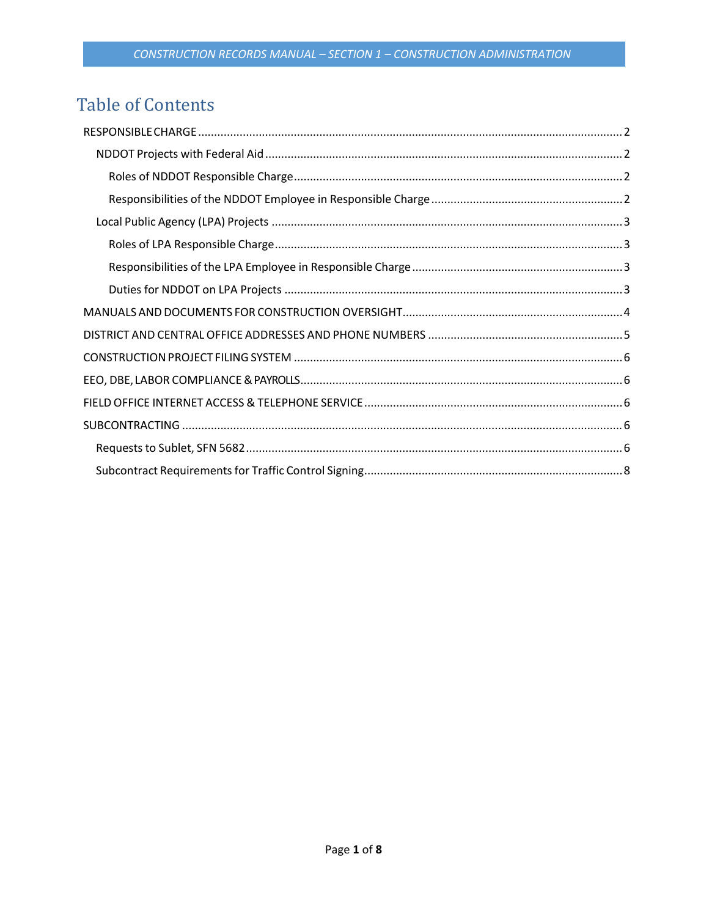# **Table of Contents**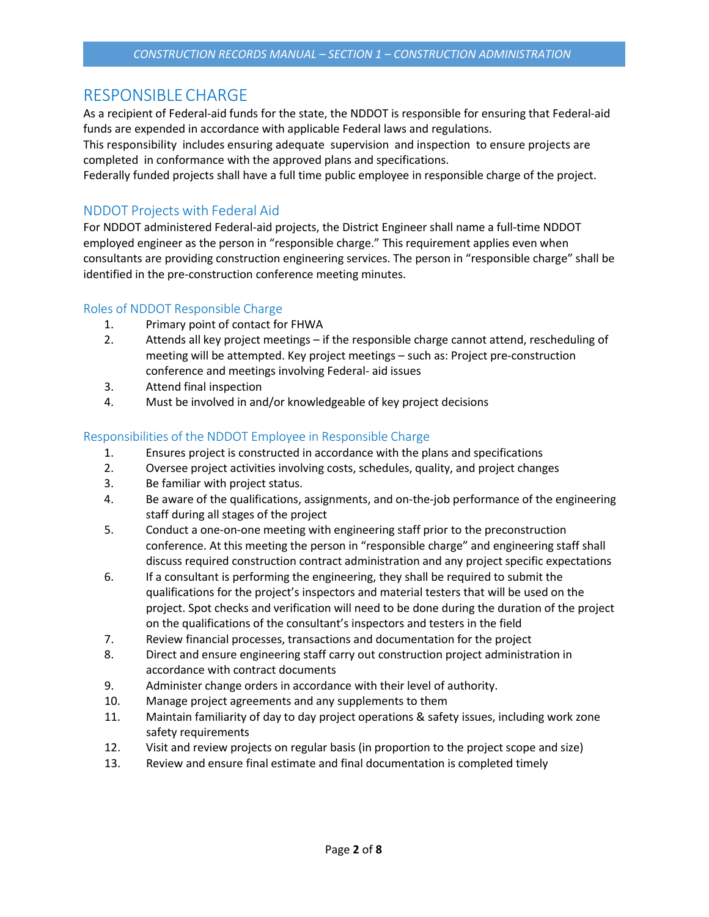## <span id="page-1-0"></span>RESPONSIBLECHARGE

As a recipient of Federal-aid funds for the state, the NDDOT is responsible for ensuring that Federal-aid funds are expended in accordance with applicable Federal laws and regulations.

This responsibility includes ensuring adequate supervision and inspection to ensure projects are completed in conformance with the approved plans and specifications.

Federally funded projects shall have a full time public employee in responsible charge of the project.

### <span id="page-1-1"></span>NDDOT Projects with Federal Aid

For NDDOT administered Federal-aid projects, the District Engineer shall name a full-time NDDOT employed engineer as the person in "responsible charge." This requirement applies even when consultants are providing construction engineering services. The person in "responsible charge" shall be identified in the pre-construction conference meeting minutes.

### <span id="page-1-2"></span>Roles of NDDOT Responsible Charge

- 1. Primary point of contact for FHWA
- 2. Attends all key project meetings if the responsible charge cannot attend, rescheduling of meeting will be attempted. Key project meetings – such as: Project pre-construction conference and meetings involving Federal- aid issues
- 3. Attend final inspection
- 4. Must be involved in and/or knowledgeable of key project decisions

### <span id="page-1-3"></span>Responsibilities of the NDDOT Employee in Responsible Charge

- 1. Ensures project is constructed in accordance with the plans and specifications
- 2. Oversee project activities involving costs, schedules, quality, and project changes
- 3. Be familiar with project status.
- 4. Be aware of the qualifications, assignments, and on-the-job performance of the engineering staff during all stages of the project
- 5. Conduct a one-on-one meeting with engineering staff prior to the preconstruction conference. At this meeting the person in "responsible charge" and engineering staff shall discuss required construction contract administration and any project specific expectations
- 6. If a consultant is performing the engineering, they shall be required to submit the qualifications for the project's inspectors and material testers that will be used on the project. Spot checks and verification will need to be done during the duration of the project on the qualifications of the consultant's inspectors and testers in the field
- 7. Review financial processes, transactions and documentation for the project
- 8. Direct and ensure engineering staff carry out construction project administration in accordance with contract documents
- 9. Administer change orders in accordance with their level of authority.
- 10. Manage project agreements and any supplements to them
- 11. Maintain familiarity of day to day project operations & safety issues, including work zone safety requirements
- 12. Visit and review projects on regular basis (in proportion to the project scope and size)
- 13. Review and ensure final estimate and final documentation is completed timely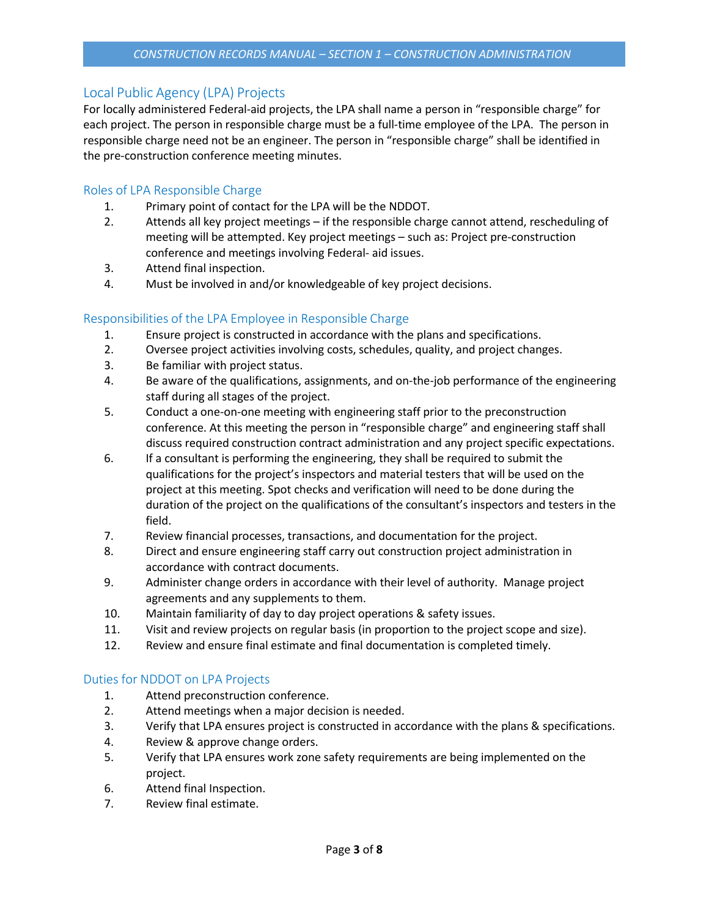### <span id="page-2-0"></span>Local Public Agency (LPA) Projects

For locally administered Federal-aid projects, the LPA shall name a person in "responsible charge" for each project. The person in responsible charge must be a full-time employee of the LPA. The person in responsible charge need not be an engineer. The person in "responsible charge" shall be identified in the pre-construction conference meeting minutes.

#### <span id="page-2-1"></span>Roles of LPA Responsible Charge

- 1. Primary point of contact for the LPA will be the NDDOT.
- 2. Attends all key project meetings if the responsible charge cannot attend, rescheduling of meeting will be attempted. Key project meetings – such as: Project pre-construction conference and meetings involving Federal- aid issues.
- 3. Attend final inspection.
- 4. Must be involved in and/or knowledgeable of key project decisions.

### <span id="page-2-2"></span>Responsibilities of the LPA Employee in Responsible Charge

- 1. Ensure project is constructed in accordance with the plans and specifications.
- 2. Oversee project activities involving costs, schedules, quality, and project changes.
- 3. Be familiar with project status.
- 4. Be aware of the qualifications, assignments, and on-the-job performance of the engineering staff during all stages of the project.
- 5. Conduct a one-on-one meeting with engineering staff prior to the preconstruction conference. At this meeting the person in "responsible charge" and engineering staff shall discuss required construction contract administration and any project specific expectations.
- 6. If a consultant is performing the engineering, they shall be required to submit the qualifications for the project's inspectors and material testers that will be used on the project at this meeting. Spot checks and verification will need to be done during the duration of the project on the qualifications of the consultant's inspectors and testers in the field.
- 7. Review financial processes, transactions, and documentation for the project.
- 8. Direct and ensure engineering staff carry out construction project administration in accordance with contract documents.
- 9. Administer change orders in accordance with their level of authority. Manage project agreements and any supplements to them.
- 10. Maintain familiarity of day to day project operations & safety issues.
- 11. Visit and review projects on regular basis (in proportion to the project scope and size).
- 12. Review and ensure final estimate and final documentation is completed timely.

#### <span id="page-2-3"></span>Duties for NDDOT on LPA Projects

- 1. Attend preconstruction conference.
- 2. Attend meetings when a major decision is needed.
- 3. Verify that LPA ensures project is constructed in accordance with the plans & specifications.
- 4. Review & approve change orders.
- 5. Verify that LPA ensures work zone safety requirements are being implemented on the project.
- 6. Attend final Inspection.
- 7. Review final estimate.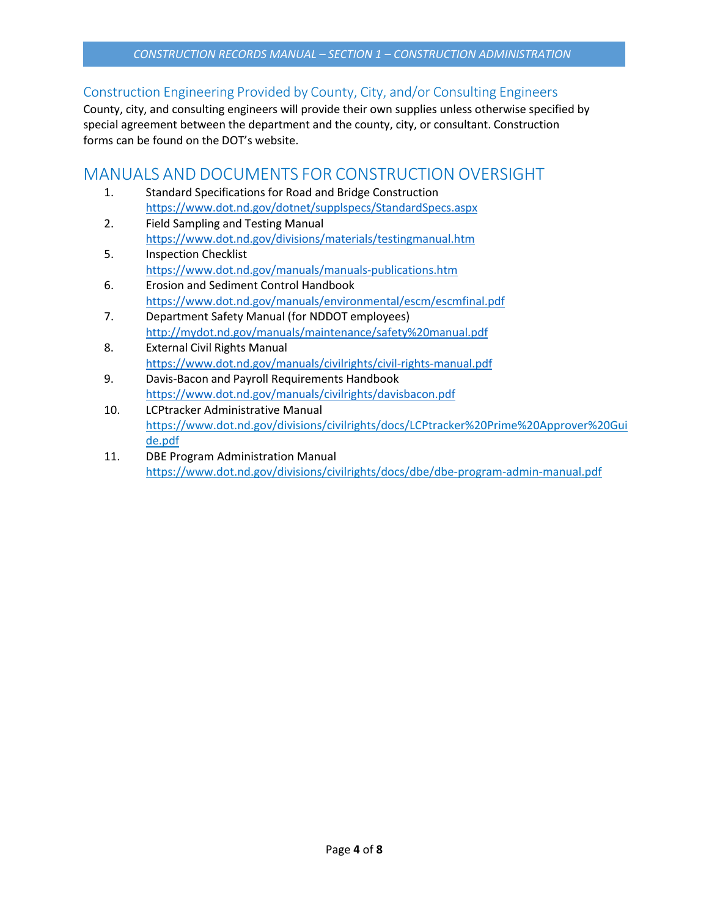### Construction Engineering Provided by County, City, and/or Consulting Engineers

County, city, and consulting engineers will provide their own supplies unless otherwise specified by special agreement between the department and the county, city, or consultant. Construction forms can be found on the DOT's website.

## <span id="page-3-0"></span>MANUALS AND DOCUMENTS FOR CONSTRUCTION OVERSIGHT

- 1. Standard Specifications for Road and Bridge Construction <https://www.dot.nd.gov/dotnet/supplspecs/StandardSpecs.aspx>
- 2. Field Sampling and Testing Manual <https://www.dot.nd.gov/divisions/materials/testingmanual.htm>
- 5. Inspection Checklist <https://www.dot.nd.gov/manuals/manuals-publications.htm>
- 6. Erosion and Sediment Control Handbook <https://www.dot.nd.gov/manuals/environmental/escm/escmfinal.pdf>
- 7. Department Safety Manual (for NDDOT employees) <http://mydot.nd.gov/manuals/maintenance/safety%20manual.pdf>
- 8. External Civil Rights Manual <https://www.dot.nd.gov/manuals/civilrights/civil-rights-manual.pdf>
- 9. Davis-Bacon and Payroll Requirements Handbook <https://www.dot.nd.gov/manuals/civilrights/davisbacon.pdf>
- 10. LCPtracker Administrative Manual [https://www.dot.nd.gov/divisions/civilrights/docs/LCPtracker%20Prime%20Approver%20Gui](https://www.dot.nd.gov/divisions/civilrights/docs/LCPtracker%20Prime%20Approver%20Guide.pdf) [de.pdf](https://www.dot.nd.gov/divisions/civilrights/docs/LCPtracker%20Prime%20Approver%20Guide.pdf)
- 11. DBE Program Administration Manual <https://www.dot.nd.gov/divisions/civilrights/docs/dbe/dbe-program-admin-manual.pdf>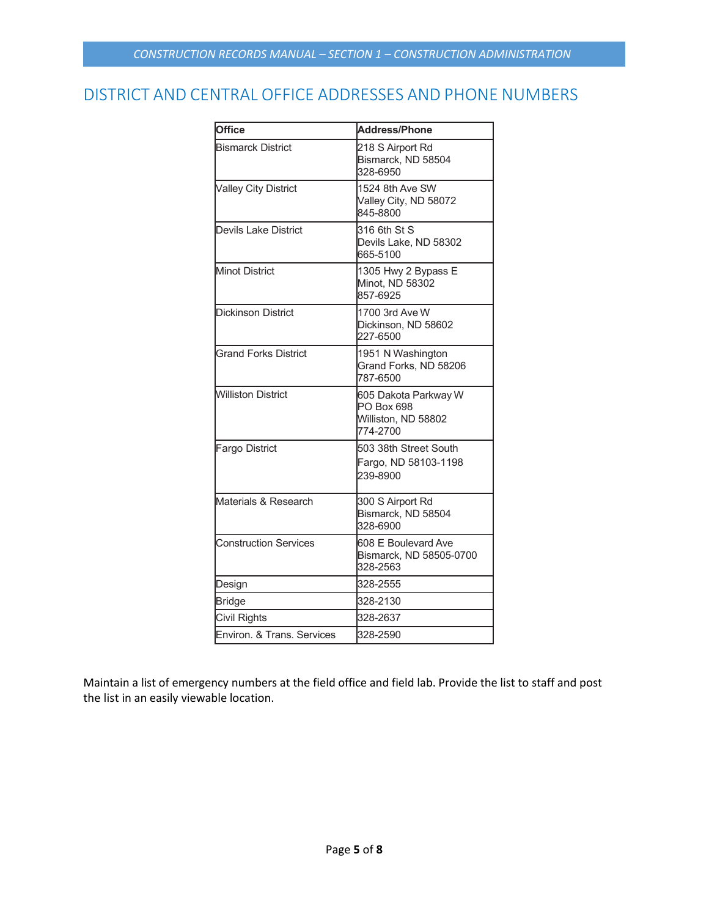## <span id="page-4-0"></span>DISTRICT AND CENTRAL OFFICE ADDRESSES AND PHONE NUMBERS

| <b>Office</b>                | <b>Address/Phone</b>                                                  |
|------------------------------|-----------------------------------------------------------------------|
| <b>Bismarck District</b>     | 218 S Airport Rd<br>Bismarck, ND 58504<br>328-6950                    |
| <b>Valley City District</b>  | 1524 8th Ave SW<br>Valley City, ND 58072<br>845-8800                  |
| <b>Devils Lake District</b>  | 316 6th St S<br>Devils Lake, ND 58302<br>665-5100                     |
| <b>Minot District</b>        | 1305 Hwy 2 Bypass E<br>Minot, ND 58302<br>857-6925                    |
| <b>Dickinson District</b>    | 1700 3rd Ave W<br>Dickinson, ND 58602<br>227-6500                     |
| <b>Grand Forks District</b>  | 1951 N Washington<br>Grand Forks, ND 58206<br>787-6500                |
| <b>Williston District</b>    | 605 Dakota Parkway W<br>PO Box 698<br>Williston, ND 58802<br>774-2700 |
| <b>Fargo District</b>        | 503 38th Street South<br>Fargo, ND 58103-1198<br>239-8900             |
| Materials & Research         | 300 S Airport Rd<br>Bismarck, ND 58504<br>328-6900                    |
| <b>Construction Services</b> | 608 E Boulevard Ave<br>Bismarck, ND 58505-0700<br>328-2563            |
| Design                       | 328-2555                                                              |
| Bridge                       | 328-2130                                                              |
| Civil Rights                 | 328-2637                                                              |
| Environ. & Trans. Services   | 328-2590                                                              |

Maintain a list of emergency numbers at the field office and field lab. Provide the list to staff and post the list in an easily viewable location.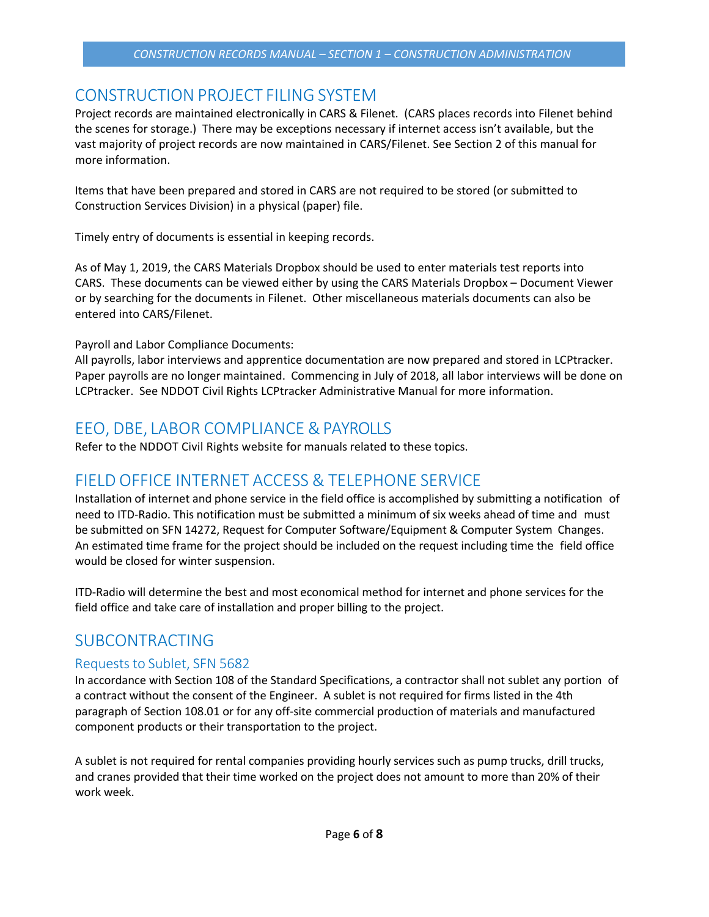## <span id="page-5-0"></span>CONSTRUCTION PROJECT FILING SYSTEM

Project records are maintained electronically in CARS & Filenet. (CARS places records into Filenet behind the scenes for storage.) There may be exceptions necessary if internet access isn't available, but the vast majority of project records are now maintained in CARS/Filenet. See Section 2 of this manual for more information.

Items that have been prepared and stored in CARS are not required to be stored (or submitted to Construction Services Division) in a physical (paper) file.

Timely entry of documents is essential in keeping records.

As of May 1, 2019, the CARS Materials Dropbox should be used to enter materials test reports into CARS. These documents can be viewed either by using the CARS Materials Dropbox – Document Viewer or by searching for the documents in Filenet. Other miscellaneous materials documents can also be entered into CARS/Filenet.

Payroll and Labor Compliance Documents:

All payrolls, labor interviews and apprentice documentation are now prepared and stored in LCPtracker. Paper payrolls are no longer maintained. Commencing in July of 2018, all labor interviews will be done on LCPtracker. See NDDOT Civil Rights LCPtracker Administrative Manual for more information.

## <span id="page-5-1"></span>EEO, DBE, LABOR COMPLIANCE & PAYROLLS

Refer to the NDDOT Civil Rights website for manuals related to these topics.

## <span id="page-5-2"></span>FIELD OFFICE INTERNET ACCESS & TELEPHONE SERVICE

Installation of internet and phone service in the field office is accomplished by submitting a notification of need to ITD-Radio. This notification must be submitted a minimum of six weeks ahead of time and must be submitted on SFN 14272, Request for Computer Software/Equipment & Computer System Changes. An estimated time frame for the project should be included on the request including time the field office would be closed for winter suspension.

ITD-Radio will determine the best and most economical method for internet and phone services for the field office and take care of installation and proper billing to the project.

## <span id="page-5-3"></span>SUBCONTRACTING

### <span id="page-5-4"></span>Requests to Sublet, SFN 5682

In accordance with Section 108 of the Standard Specifications, a contractor shall not sublet any portion of a contract without the consent of the Engineer. A sublet is not required for firms listed in the 4th paragraph of Section 108.01 or for any off-site commercial production of materials and manufactured component products or their transportation to the project.

A sublet is not required for rental companies providing hourly services such as pump trucks, drill trucks, and cranes provided that their time worked on the project does not amount to more than 20% of their work week.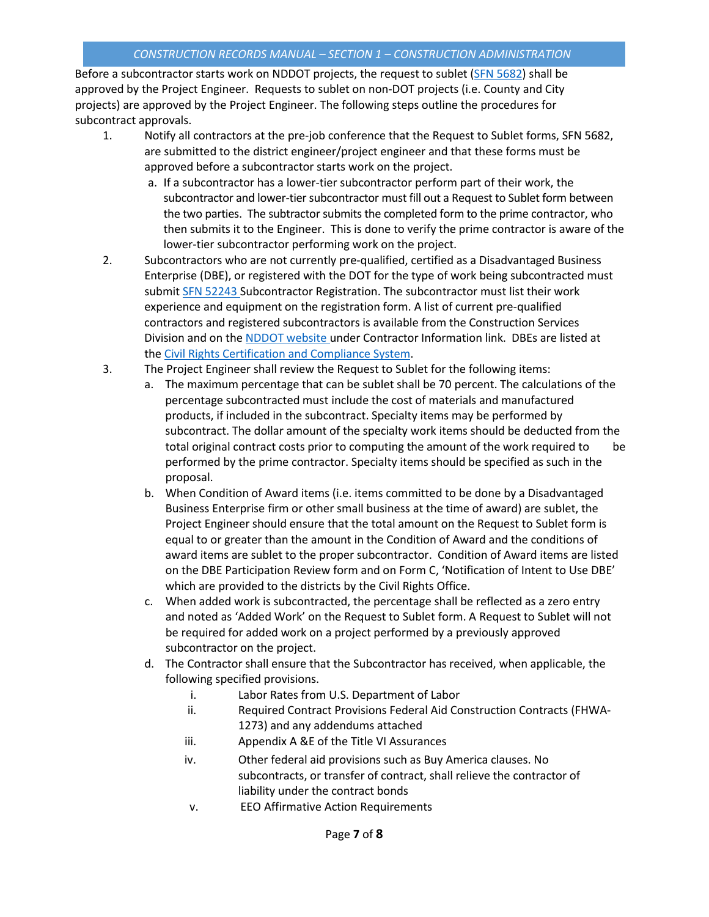Before a subcontractor starts work on NDDOT projects, the request to sublet (SFN 5682) shall be approved by the Project Engineer. Requests to sublet on non-DOT projects (i.e. County and City projects) are approved by the Project Engineer. The following steps outline the procedures for subcontract approvals.

- 1. Notify all contractors at the pre-job conference that the Request to Sublet forms, SFN 5682, are submitted to the district engineer/project engineer and that these forms must be approved before a subcontractor starts work on the project.
	- a. If a subcontractor has a lower-tier subcontractor perform part of their work, the subcontractor and lower-tier subcontractor must fill out a Request to Sublet form between the two parties. The subtractor submits the completed form to the prime contractor, who then submits it to the Engineer. This is done to verify the prime contractor is aware of the lower-tier subcontractor performing work on the project.
- 2. Subcontractors who are not currently pre-qualified, certified as a Disadvantaged Business Enterprise (DBE), or registered with the DOT for the type of work being subcontracted must submit SFN 52243 Subcontractor Registration. The subcontractor must list their work experience and equipment on the registration form. A list of current pre-qualified contractors and registered subcontractors is available from the Construction Services Division and on the NDDOT website under Contractor Information link. DBEs are listed at the Civil Rights Certification and Compliance System.
- 3. The Project Engineer shall review the Request to Sublet for the following items:
	- a. The maximum percentage that can be sublet shall be 70 percent. The calculations of the percentage subcontracted must include the cost of materials and manufactured products, if included in the subcontract. Specialty items may be performed by subcontract. The dollar amount of the specialty work items should be deducted from the total original contract costs prior to computing the amount of the work required to be performed by the prime contractor. Specialty items should be specified as such in the proposal.
	- b. When Condition of Award items (i.e. items committed to be done by a Disadvantaged Business Enterprise firm or other small business at the time of award) are sublet, the Project Engineer should ensure that the total amount on the Request to Sublet form is equal to or greater than the amount in the Condition of Award and the conditions of award items are sublet to the proper subcontractor. Condition of Award items are listed on the DBE Participation Review form and on Form C, 'Notification of Intent to Use DBE' which are provided to the districts by the Civil Rights Office.
	- c. When added work is subcontracted, the percentage shall be reflected as a zero entry and noted as 'Added Work' on the Request to Sublet form. A Request to Sublet will not be required for added work on a project performed by a previously approved subcontractor on the project.
	- d. The Contractor shall ensure that the Subcontractor has received, when applicable, the following specified provisions.
		- i. Labor Rates from U.S. Department of Labor
		- ii. Required Contract Provisions Federal Aid Construction Contracts (FHWA-1273) and any addendums attached
		- iii. Appendix A &E of the Title VI Assurances
		- iv. Other federal aid provisions such as Buy America clauses. No subcontracts, or transfer of contract, shall relieve the contractor of liability under the contract bonds
		- v. EEO Affirmative Action Requirements